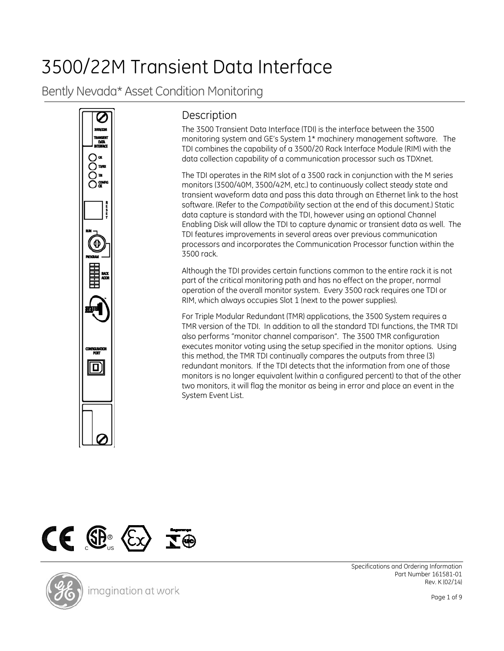# 3500/22M Transient Data Interface

Bently Nevada\* Asset Condition Monitoring



## **Description**

The 3500 Transient Data Interface (TDI) is the interface between the 3500 monitoring system and GE's System 1\* machinery management software. The TDI combines the capability of a 3500/20 Rack Interface Module (RIM) with the data collection capability of a communication processor such as TDXnet.

The TDI operates in the RIM slot of a 3500 rack in conjunction with the M series monitors (3500/40M, 3500/42M, etc.) to continuously collect steady state and transient waveform data and pass this data through an Ethernet link to the host software. (Refer to the *Compatibility* section at the end of this document.) Static data capture is standard with the TDI, however using an optional Channel Enabling Disk will allow the TDI to capture dynamic or transient data as well. The TDI features improvements in several areas over previous communication processors and incorporates the Communication Processor function within the 3500 rack.

Although the TDI provides certain functions common to the entire rack it is not part of the critical monitoring path and has no effect on the proper, normal operation of the overall monitor system. Every 3500 rack requires one TDI or RIM, which always occupies Slot 1 (next to the power supplies).

For Triple Modular Redundant (TMR) applications, the 3500 System requires a TMR version of the TDI. In addition to all the standard TDI functions, the TMR TDI also performs "monitor channel comparison". The 3500 TMR configuration executes monitor voting using the setup specified in the monitor options. Using this method, the TMR TDI continually compares the outputs from three (3) redundant monitors. If the TDI detects that the information from one of those monitors is no longer equivalent (within a configured percent) to that of the other two monitors, it will flag the monitor as being in error and place an event in the System Event List.



Specifications and Ordering Information Part Number 161581-01 Rev. K (02/14)

Page 1 of 9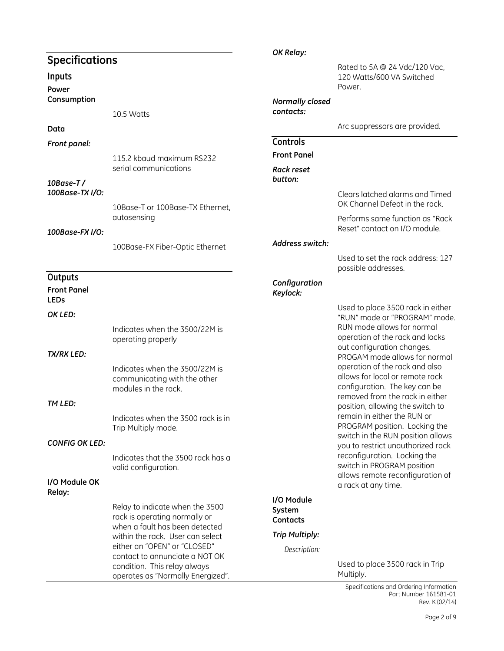#### **Specifications Inputs Power Consumption** 10.5 Watts **Data** *Front panel:* 115.2 kbaud maximum RS232 serial communications *10Base-T / 100Base-TX I/O:* 10Base-T or 100Base-TX Ethernet, autosensing *100Base-FX I/O:* 100Base-FX Fiber-Optic Ethernet **Outputs Front Panel LEDs** *OK LED:* Indicates when the 3500/22M is operating properly *TX/RX LED:* Indicates when the 3500/22M is communicating with the other modules in the rack. *TM LED:* Indicates when the 3500 rack is in Trip Multiply mode. *CONFIG OK LED:* Indicates that the 3500 rack has a valid configuration. **I/O Module OK Relay:** Relay to indicate when the 3500 rack is operating normally or when a fault has been detected within the rack. User can select either an "OPEN" or "CLOSED" contact to annunciate a NOT OK condition. This relay always operates as "Normally Energized". *OK Relay:* Rated to 5A @ 24 Vdc/120 Vac, 120 Watts/600 VA Switched Power. *Normally closed contacts:* Arc suppressors are provided. **Controls Front Panel** *Rack reset button:* Clears latched alarms and Timed OK Channel Defeat in the rack. Performs same function as "Rack Reset" contact on I/O module. *Address switch:* Used to set the rack address: 127 possible addresses. *Configuration Keylock:* Used to place 3500 rack in either "RUN" mode or "PROGRAM" mode. RUN mode allows for normal operation of the rack and locks out configuration changes. PROGAM mode allows for normal operation of the rack and also allows for local or remote rack configuration. The key can be removed from the rack in either position, allowing the switch to remain in either the RUN or PROGRAM position. Locking the switch in the RUN position allows you to restrict unauthorized rack reconfiguration. Locking the switch in PROGRAM position allows remote reconfiguration of a rack at any time. **I/O Module System Contacts** *Trip Multiply: Description:* Used to place 3500 rack in Trip Multiply.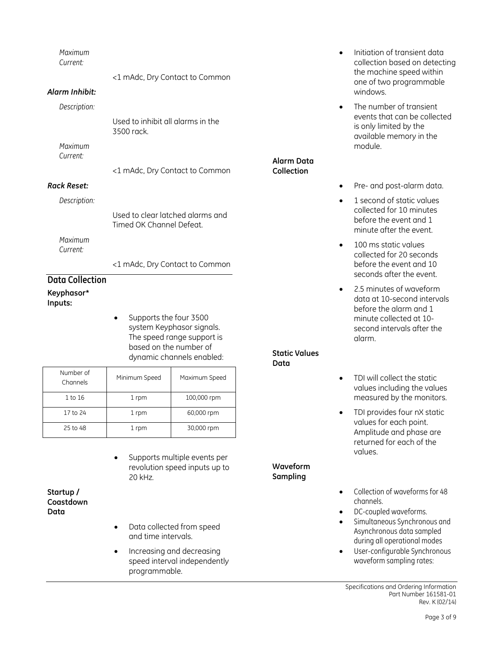| Keyphasor*             |                                                              |                          |
|------------------------|--------------------------------------------------------------|--------------------------|
| <b>Data Collection</b> |                                                              |                          |
|                        | <1 mAdc, Dry Contact to Common                               |                          |
| Current:               |                                                              |                          |
| Maximum                |                                                              |                          |
|                        | Used to clear latched alarms and<br>Timed OK Channel Defeat. |                          |
| Description:           |                                                              |                          |
| <b>Rack Reset:</b>     |                                                              |                          |
| Current:               | <1 mAdc, Dry Contact to Common                               | Alarm Data<br>Collection |
| Maximum                |                                                              |                          |
|                        | Used to inhibit all alarms in the<br>3500 rack               |                          |
| Description:           |                                                              |                          |
| Alarm Inhibit:         |                                                              |                          |
|                        | <1 mAdc, Dry Contact to Common                               |                          |
| Maximum<br>Current:    |                                                              |                          |
|                        |                                                              |                          |

- **Inputs:**
- Supports the four 3500 system Keyphasor signals. The speed range support is based on the number of dynamic channels enabled:

| Number of<br>Channels | Minimum Speed | Maximum Speed |
|-----------------------|---------------|---------------|
| 1 to 16               | 1 rpm         | 100,000 rpm   |
| 17 to 24              | 1 rpm         | 60,000 rpm    |
| 25 to 48              | 1 rpm         | 30,000 rpm    |

Supports multiple events per revolution speed inputs up to 20 kHz.

**Startup / Coastdown Data**

- Data collected from speed and time intervals.
- Increasing and decreasing speed interval independently programmable.
- Initiation of transient data collection based on detecting the machine speed within one of two programmable windows.
- The number of transient events that can be collected is only limited by the available memory in the module.
- Pre- and post-alarm data.
- 1 second of static values collected for 10 minutes before the event and 1 minute after the event.
- 100 ms static values collected for 20 seconds before the event and 10 seconds after the event.
- 2.5 minutes of waveform data at 10-second intervals before the alarm and 1 minute collected at 10 second intervals after the alarm.

#### **Static Values Data**

**Waveform Sampling**

- TDI will collect the static values including the values measured by the monitors.
- TDI provides four nX static values for each point. Amplitude and phase are returned for each of the values.
- Collection of waveforms for 48 channels.
- DC-coupled waveforms.
- Simultaneous Synchronous and Asynchronous data sampled during all operational modes
- User-configurable Synchronous waveform sampling rates: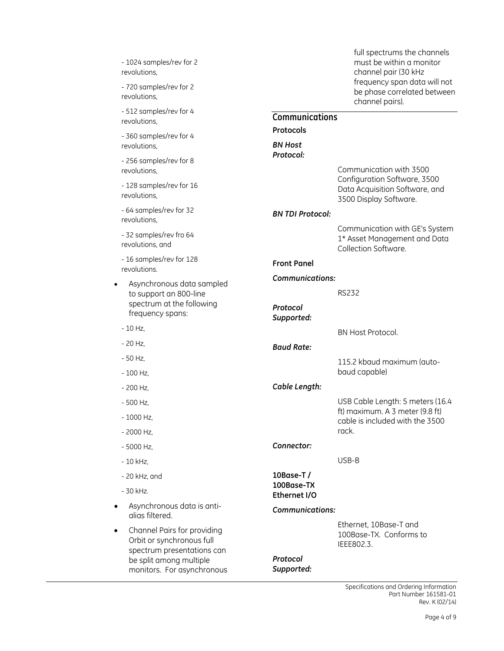| - 1024 samples/rev for 2<br>revolutions,                                                                                                        | full spectrums the channels<br>must be within a monitor<br>channel pair (30 kHz           |
|-------------------------------------------------------------------------------------------------------------------------------------------------|-------------------------------------------------------------------------------------------|
| - 720 samples/rev for 2<br>revolutions.                                                                                                         | frequency span data will not<br>be phase correlated between<br>channel pairs).            |
| - 512 samples/rev for 4<br>revolutions,                                                                                                         | Communications                                                                            |
| - 360 samples/rev for 4<br>revolutions.                                                                                                         | Protocols<br><b>BN Host</b>                                                               |
| - 256 samples/rev for 8<br>revolutions,                                                                                                         | Protocol:<br>Communication with 3500                                                      |
| - 128 samples/rev for 16<br>revolutions.                                                                                                        | Configuration Software, 3500<br>Data Acquisition Software, and<br>3500 Display Software.  |
| - 64 samples/rev for 32<br>revolutions,                                                                                                         | <b>BN TDI Protocol:</b>                                                                   |
| - 32 samples/rev fro 64<br>revolutions, and                                                                                                     | Communication with GE's System<br>1* Asset Management and Data<br>Collection Software.    |
| - 16 samples/rev for 128<br>revolutions.                                                                                                        | <b>Front Panel</b>                                                                        |
| Asynchronous data sampled<br>to support an 800-line<br>spectrum at the following<br>frequency spans:                                            | <b>Communications:</b><br><b>RS232</b><br>Protocol<br>Supported:                          |
| $-10$ Hz,                                                                                                                                       | <b>BN Host Protocol.</b>                                                                  |
| $-20$ Hz.                                                                                                                                       | <b>Baud Rate:</b>                                                                         |
| - 50 Hz,                                                                                                                                        | 115.2 kbaud maximum (auto-                                                                |
| $-100$ Hz,                                                                                                                                      | baud capable)                                                                             |
| $-200$ Hz,                                                                                                                                      | Cable Length:                                                                             |
| $-500$ Hz,                                                                                                                                      | USB Cable Length: 5 meters (16.4                                                          |
| 1000 Hz,                                                                                                                                        | ft) maximum. A 3 meter (9.8 ft)<br>cable is included with the 3500                        |
| $-2000$ Hz,                                                                                                                                     | rack.                                                                                     |
| $-5000$ Hz,                                                                                                                                     | Connector:                                                                                |
| $-10$ kHz,                                                                                                                                      | USB-B                                                                                     |
| $-20$ kHz, and                                                                                                                                  | 10Base-T/                                                                                 |
| - 30 kHz.                                                                                                                                       | 100Base-TX<br>Ethernet I/O                                                                |
| Asynchronous data is anti-<br>alias filtered.                                                                                                   | <b>Communications:</b>                                                                    |
| Channel Pairs for providing<br>Orbit or synchronous full<br>spectrum presentations can<br>be split among multiple<br>monitors. For asynchronous | Ethernet, 10Base-T and<br>100Base-TX. Conforms to<br>IEEE802.3.<br>Protocol<br>Supported: |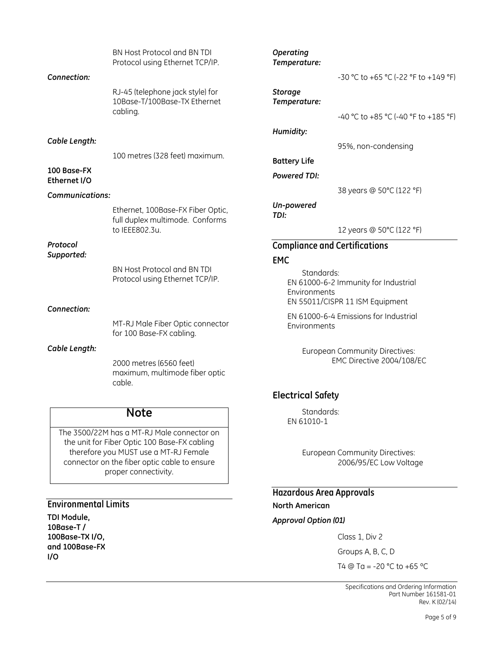|                             | BN Host Protocol and BN TDI<br>Protocol using Ethernet TCP/IP.               | Operating<br>Temperature:      |                                                                         |
|-----------------------------|------------------------------------------------------------------------------|--------------------------------|-------------------------------------------------------------------------|
| Connection:                 |                                                                              |                                | -30 °C to +65 °C (-22 °F to +149 °F)                                    |
|                             | RJ-45 (telephone jack style) for<br>10Base-T/100Base-TX Ethernet<br>cabling. | <b>Storage</b><br>Temperature: |                                                                         |
|                             |                                                                              |                                | -40 °C to +85 °C (-40 °F to +185 °F)                                    |
|                             |                                                                              | Humidity:                      |                                                                         |
| Cable Length:               |                                                                              |                                | 95%, non-condensing                                                     |
|                             | 100 metres (328 feet) maximum.                                               | <b>Battery Life</b>            |                                                                         |
| 100 Base-FX<br>Ethernet I/O |                                                                              | <b>Powered TDI:</b>            |                                                                         |
| <b>Communications:</b>      |                                                                              |                                | 38 years @ 50°C (122 °F)                                                |
|                             | Ethernet, 100Base-FX Fiber Optic,<br>full duplex multimode. Conforms         | Un-powered<br>TDI:             |                                                                         |
|                             | to IEEE802.3u.                                                               |                                | 12 years @ 50°C (122 °F)                                                |
| Protocol                    |                                                                              |                                | <b>Compliance and Certifications</b>                                    |
| Supported:                  |                                                                              | <b>EMC</b>                     |                                                                         |
|                             | BN Host Protocol and BN TDI<br>Protocol using Ethernet TCP/IP.               | Standards:<br>Environments     | EN 61000-6-2 Immunity for Industrial<br>EN 55011/CISPR 11 ISM Equipment |
| Connection:                 |                                                                              |                                | EN 61000-6-4 Emissions for Industrial                                   |
|                             | MT-RJ Male Fiber Optic connector<br>for 100 Base-FX cabling.                 | Environments                   |                                                                         |
| Cable Length:               | 2000 metres (6560 feet)<br>maximum, multimode fiber optic<br>cable.          |                                | European Community Directives:<br>EMC Directive 2004/108/EC             |
|                             |                                                                              | <b>Electrical Safety</b>       |                                                                         |

## **Note**

The 3500/22M has a MT-RJ Male connector on the unit for Fiber Optic 100 Base-FX cabling therefore you MUST use a MT-RJ Female connector on the fiber optic cable to ensure proper connectivity.

#### **Environmental Limits**

**TDI Module, 10Base-T / 100Base-TX I/O, and 100Base-FX I/O**

#### Standards: EN 61010-1

European Community Directives: 2006/95/EC Low Voltage

**Hazardous Area Approvals North American** *Approval Option (01)*

Class 1, Div 2

Groups A, B, C, D

T4  $\textcircled{ }$  Ta = -20 °C to +65 °C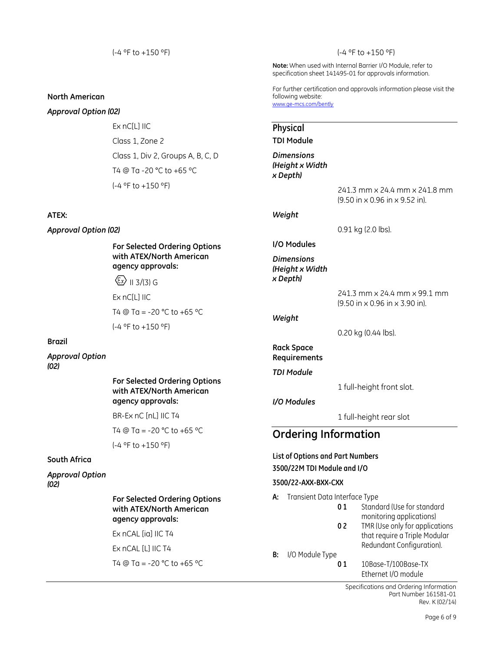#### **North American**

#### *Approval Option (02)*

Ex nC[L] IIC Class 1, Zone 2 Class 1, Div 2, Groups A, B, C, D T4 @ Ta -20 °C to +65 ºC (-4 ºF to +150 ºF)

#### **ATEX:**

*Approval Option (02)*

**For Selected Ordering Options with ATEX/North American agency approvals:**

 $\langle \xi_{x} \rangle$  II 3/(3) G

Ex nC[L] IIC

```
T4 @ Ta = -20 °C to +65 ºC
(-4 ºF to +150 ºF)
```
#### **Brazil**

*Approval Option (02)*

#### **For Selected Ordering Options with ATEX/North American agency approvals:**

BR-Ex nC [nL] IIC T4

T4 @ Ta = -20 °C to +65 ºC

(-4 ºF to +150 ºF)

#### **South Africa**

*Approval Option (02)*

#### **For Selected Ordering Options with ATEX/North American agency approvals:**

Ex nCAL [ia] IIC T4

Ex nCAL [L] IIC T4

T4  $\textcircled{ }$  Ta = -20 °C to +65 °C

#### (-4 ºF to +150 ºF)

**Note:** When used with Internal Barrier I/O Module, refer to specification sheet 141495-01 for approvals information.

For further certification and approvals information please visit the following website: [www.ge-mcs.com/bently](http://www.ge-energy.com/bently)

#### **Physical**

**TDI Module**

*Dimensions (Height x Width x Depth)*

> 241.3 mm x 24.4 mm x 241.8 mm (9.50 in x 0.96 in x 9.52 in).

#### *Weight*

0.91 kg (2.0 lbs).

#### **I/O Modules**

*Dimensions (Height x Width x Depth)*

241.3 mm x 24.4 mm x 99.1 mm (9.50 in x 0.96 in x 3.90 in).

#### *Weight*

0.20 kg (0.44 lbs).

### **Rack Space**

**Requirements**

*TDI Module*

1 full-height front slot.

#### *I/O Modules*

1 full-height rear slot

## **Ordering Information**

#### **List of Options and Part Numbers 3500/22M TDI Module and I/O**

#### **3500/22-AXX-BXX-CXX**

**A:** Transient Data Interface Type

- **0 1** Standard (Use for standard monitoring applications)
- **0 2** TMR (Use only for applications that require a Triple Modular Redundant Configuration).
- **B:** I/O Module Type
	- **0 1** 10Base-T/100Base-TX Ethernet I/O module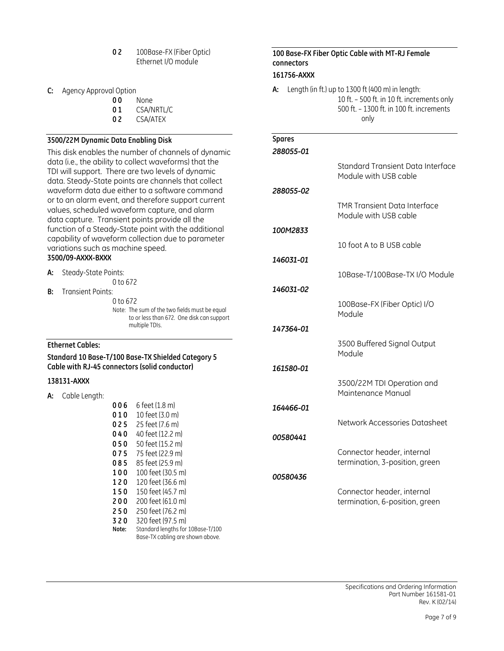| 02 | 100Base-FX (Fiber Optic) |
|----|--------------------------|
|    | Ethernet I/O module      |

- **C:** Agency Approval Option
	- **0 0** None
		- **0 1** CSA/NRTL/C
		- **0 2** CSA/ATEX

#### **3500/22M Dynamic Data Enabling Disk**

This disk enables the number of channels of dynamic data (i.e., the ability to collect waveforms) that the TDI will support. There are two levels of dynamic data. Steady-State points are channels that collect waveform data due either to a software command or to an alarm event, and therefore support current values, scheduled waveform capture, and alarm data capture. Transient points provide all the function of a Steady-State point with the additional capability of waveform collection due to parameter variations such as machine speed. **3500/09-AXXX-BXXX**

**A:** Steady-State Points: 0 to 672 **B:** Transient Points:

| 0 to 672                                      |
|-----------------------------------------------|
| Note: The sum of the two fields must be equal |
| to or less than 672. One disk can support     |
| multiple TDIs.                                |

#### **Ethernet Cables:**

#### **Standard 10 Base-T/100 Base-TX Shielded Category 5 Cable with RJ-45 connectors (solid conductor)**

#### **138131-AXXX**

| А: | Cable Length: |       |                                                                       |
|----|---------------|-------|-----------------------------------------------------------------------|
|    |               | 006   | 6 feet (1.8 m)                                                        |
|    |               | 010   | 10 feet (3.0 m)                                                       |
|    |               | 025   | 25 feet (7.6 m)                                                       |
|    |               | 040   | 40 feet (12.2 m)                                                      |
|    |               | 050   | 50 feet (15.2 m)                                                      |
|    |               | 075   | 75 feet (22.9 m)                                                      |
|    |               | 085   | 85 feet (25.9 m)                                                      |
|    |               | 100   | 100 feet (30.5 m)                                                     |
|    |               | 120   | 120 feet (36.6 m)                                                     |
|    |               | 150   | 150 feet (45.7 m)                                                     |
|    |               | 200   | 200 feet (61.0 m)                                                     |
|    |               | 250   | 250 feet (76.2 m)                                                     |
|    |               | 320   | 320 feet (97.5 m)                                                     |
|    |               | Note: | Standard lengths for 10Base-T/100<br>Base-TX cabling are shown above. |

#### **100 Base-FX Fiber Optic Cable with MT-RJ Female connectors 161756-AXXX**

**A:** Length (in ft.) up to 1300 ft (400 m) in length: 10 ft. – 500 ft. in 10 ft. increments only 500 ft. – 1300 ft. in 100 ft. increments only

| <b>Spares</b><br>288055-01 |                                                              |
|----------------------------|--------------------------------------------------------------|
|                            | Standard Transient Data Interface<br>Module with USB cable   |
| 288055-02                  |                                                              |
|                            | <b>TMR Transient Data Interface</b><br>Module with USB cable |
| 100M2833                   |                                                              |
|                            | 10 foot A to B USB cable                                     |
| 146031-01                  |                                                              |
|                            | 10Base-T/100Base-TX I/O Module                               |
| 146031-02                  |                                                              |
|                            | 100Base-FX (Fiber Optic) I/O<br>Module                       |
| 147364-01                  |                                                              |
|                            | 3500 Buffered Signal Output<br>Module                        |
| 161580-01                  |                                                              |
|                            | 3500/22M TDI Operation and<br>Maintenance Manual             |
| 164466-01                  |                                                              |
|                            | Network Accessories Datasheet                                |
| 00580441                   |                                                              |
|                            | Connector header, internal<br>termination, 3-position, green |
| 00580436                   |                                                              |
|                            | Connector header, internal<br>termination, 6-position, green |
|                            |                                                              |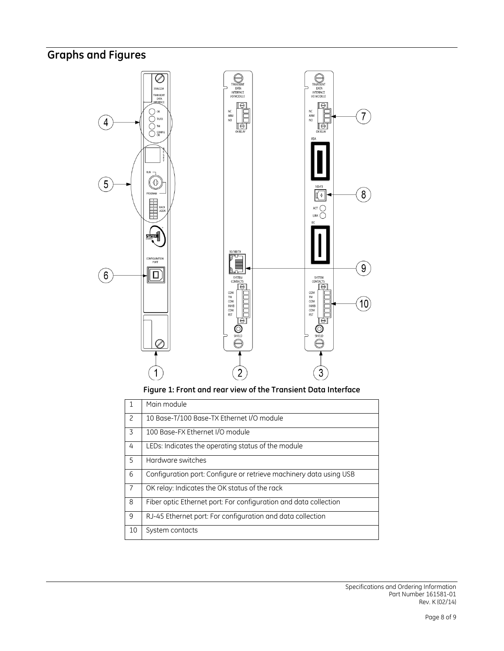## **Graphs and Figures**



|                          | Main module                                                        |
|--------------------------|--------------------------------------------------------------------|
| $\overline{\phantom{0}}$ | 10 Base-T/100 Base-TX Ethernet I/O module                          |
| 3                        | 100 Base-FX Ethernet I/O module                                    |
| 4                        | LEDs: Indicates the operating status of the module                 |
| 5                        | Hardware switches                                                  |
| 6                        | Configuration port: Configure or retrieve machinery data using USB |
| $\overline{7}$           | OK relay: Indicates the OK status of the rack                      |
| 8                        | Fiber optic Ethernet port: For configuration and data collection   |
| 9                        | RJ-45 Ethernet port: For configuration and data collection         |
| 10                       | System contacts                                                    |